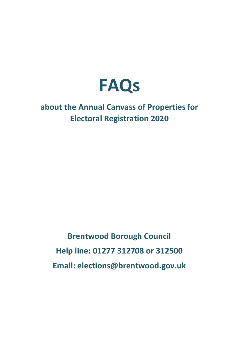

# **about the Annual Canvass of Properties for Electoral Registration 2020**

**Brentwood Borough Council Help line: 01277 312708 or 312500 Email: elections@brentwood.gov.uk**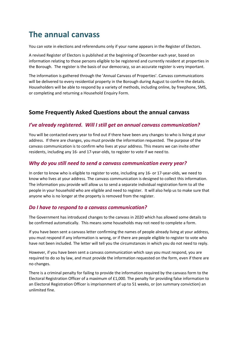# **The annual canvass**

You can vote in elections and referendums only if your name appears in the Register of Electors.

A revised Register of Electors is published at the beginning of December each year, based on information relating to those persons eligible to be registered and currently resident at properties in the Borough. The register is the basis of our democracy, so an accurate register is very important.

The information is gathered through the 'Annual Canvass of Properties'. Canvass communications will be delivered to every residential property in the Borough during August to confirm the details. Householders will be able to respond by a variety of methods, including online, by freephone, SMS, or completing and returning a Household Enquiry Form.

# **Some Frequently Asked Questions about the annual canvass**

### *I've already registered. Will I still get an annual canvass communication?*

You will be contacted every year to find out if there have been any changes to who is living at your address. If there are changes, you must provide the information requested. The purpose of the canvass communication is to confirm who lives at your address. This means we can invite other residents, including any 16- and 17-year-olds, to register to vote if we need to.

### *Why do you still need to send a canvass communication every year?*

In order to know who is eligible to register to vote, including any 16- or 17-year-olds, we need to know who lives at your address. The canvass communication is designed to collect this information. The information you provide will allow us to send a separate individual registration form to all the people in your household who are eligible and need to register. It will also help us to make sure that anyone who is no longer at the property is removed from the register.

#### *Do I have to respond to a canvass communication?*

The Government has introduced changes to the canvass in 2020 which has allowed some details to be confirmed automatically. This means some households may not need to complete a form.

If you have been sent a canvass letter confirming the names of people already living at your address, you must respond if any information is wrong, or if there are people eligible to register to vote who have not been included. The letter will tell you the circumstances in which you do not need to reply.

However, if you have been sent a canvass communication which says you must respond, you are required to do so by law, and must provide the information requested on the form, even if there are no changes.

There is a criminal penalty for failing to provide the information required by the canvass form to the Electoral Registration Officer of a maximum of £1,000. The penalty for providing false information to an Electoral Registration Officer is imprisonment of up to 51 weeks, or (on summary conviction) an unlimited fine.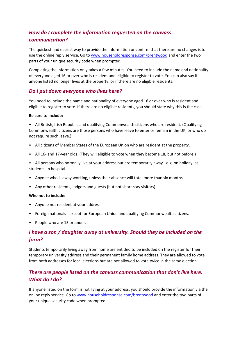# *How do I complete the information requested on the canvass communication?*

The quickest and easiest way to provide the information or confirm that there are no changes is to use the online reply service. Go t[o www.householdresponse.com/brentwood](http://www.householdresponse.com/brentwood) and enter the two parts of your unique security code when prompted.

Completing the information only takes a few minutes. You need to include the name and nationality of everyone aged 16 or over who is resident and eligible to register to vote. You can also say if anyone listed no longer lives at the property, or if there are no eligible residents.

#### *Do I put down everyone who lives here?*

You need to include the name and nationality of everyone aged 16 or over who is resident and eligible to register to vote. If there are no eligible residents, you should state why this is the case.

#### **Be sure to include:**

• All British, Irish Republic and qualifying Commonwealth citizens who are resident. (Qualifying Commonwealth citizens are those persons who have leave to enter or remain in the UK, or who do not require such leave.)

- All citizens of Member States of the European Union who are resident at the property.
- All 16- and 17-year olds. (They will eligible to vote when they become 18, but not before.)

• All persons who normally live at your address but are temporarily away - e.g. on holiday, as students, in hospital.

- Anyone who is away working, unless their absence will total more than six months.
- Any other residents, lodgers and guests (but not short stay visitors).

#### **Who not to include:**

- Anyone not resident at your address.
- Foreign nationals except for European Union and qualifying Commonwealth citizens.
- People who are 15 or under.

# *I have a son / daughter away at university. Should they be included on the form?*

Students temporarily living away from home are entitled to be included on the register for their temporary university address and their permanent family home address. They are allowed to vote from both addresses for local elections but are not allowed to vote twice in the same election.

# *There are people listed on the canvass communication that don't live here. What do I do?*

If anyone listed on the form is not living at your address, you should provide the information via the online reply service. Go to [www.householdresponse.com/brentwood](http://www.householdresponse.com/brentwood) and enter the two parts of your unique security code when prompted.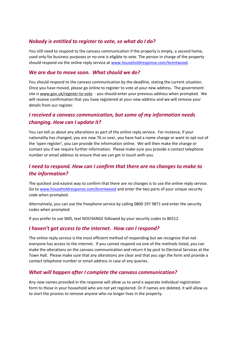### *Nobody is entitled to register to vote, so what do I do?*

You still need to respond to the canvass communication if the property is empty, a second home, used only for business purposes or no-one is eligible to vote. The person in charge of the property should respond via the online reply service at [www.householdresponse.com/brentwood.](http://www.householdresponse.com/brentwood)

#### *We are due to move soon. What should we do?*

You should respond to the canvass communication by the deadline, stating the current situation. Once you have moved, please go online to register to vote at your new address. The government site is [www.gov.uk/register-to-vote](http://www.gov.uk/register-to-vote) - you should enter your previous address when prompted. We will receive confirmation that you have registered at your new address and we will remove your details from our register.

# *I received a canvass communication, but some of my information needs changing. How can I update it?*

You can tell us about any alterations as part of the online reply service. For instance, if your nationality has changed, you are now 76 or over, you have had a name change or want to opt out of the 'open register', you can provide the information online. We will then make the change or contact you if we require further information. Please make sure you provide a contact telephone number or email address to ensure that we can get in touch with you.

# *I need to respond. How can I confirm that there are no changes to make to the information?*

The quickest and easiest way to confirm that there are no changes is to use the online reply service. Go to [www.householdresponse.com/brentwood](http://www.householdresponse.com/brentwood) and enter the two parts of your unique security code when prompted.

Alternatively, you can use the freephone service by calling 0800 197 9871 and enter the security codes when prompted.

If you prefer to use SMS, text NOCHANGE followed by your security codes to 80212.

#### *I haven't got access to the internet. How can I respond?*

The online reply service is the most efficient method of responding but we recognise that not everyone has access to the internet. If you cannot respond via one of the methods listed, you can make the alterations on the canvass communication and return it by post to Electoral Services at the Town Hall. Please make sure that any alterations are clear and that you sign the form and provide a contact telephone number or email address in case of any queries.

#### *What will happen after I complete the canvass communication?*

Any new names provided in the response will allow us to send a separate individual registration form to those in your household who are not yet registered. Or if names are deleted, it will allow us to start the process to remove anyone who no longer lives in the property.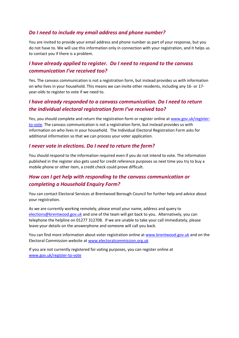# *Do I need to include my email address and phone number?*

You are invited to provide your email address and phone number as part of your response, but you do not have to. We will use this information only in connection with your registration, and it helps us to contact you if there is a problem.

# *I have already applied to register. Do I need to respond to the canvass communication I've received too?*

Yes. The canvass communication is not a registration form, but instead provides us with information on who lives in your household. This means we can invite other residents, including any 16- or 17 year-olds to register to vote if we need to.

# *I have already responded to a canvass communication. Do I need to return the individual electoral registration form I've received too?*

Yes, you should complete and return the registration form or register online a[t www.gov.uk/register](http://www.gov.uk/register-to-vote)[to-vote.](http://www.gov.uk/register-to-vote) The canvass communication is not a registration form, but instead provides us with information on who lives in your household. The Individual Electoral Registration Form asks for additional information so that we can process your voter application.

#### *I never vote in elections. Do I need to return the form?*

You should respond to the information required even if you do not intend to vote. The information published in the register also gets used for credit reference purposes so next time you try to buy a mobile phone or other item, a credit check could prove difficult.

# *How can I get help with responding to the canvass communication or completing a Household Enquiry Form?*

You can contact Electoral Services at Brentwood Borough Council for further help and advice about your registration.

As we are currently working remotely, please email your name, address and query to [elections@brentwood.gov.uk](mailto:elections@brentwood.gov.uk) and one of the team will get back to you. Alternatively, you can telephone the helpline on 01277 312708. If we are unable to take your call immediately, please leave your details on the answerphone and someone will call you back.

You can find more information about voter registration online at [www.brentwood.gov.uk](http://www.brentwood.gov.uk/) and on the Electoral Commission website a[t www.electoralcommission.org.uk](http://www.electoralcommission.org.uk/)

If you are not currently registered for voting purposes, you can register online at [www.gov.uk/register-to-vote](http://www.gov.uk/register-to-vote)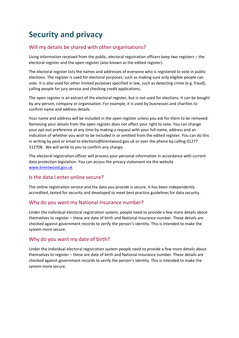# **Security and privacy**

# Will my details be shared with other organisations?

Using information received from the public, electoral registration officers keep two registers – the electoral register and the open register (also known as the edited register).

The electoral register lists the names and addresses of everyone who is registered to vote in public elections. The register is used for electoral purposes, such as making sure only eligible people can vote. It is also used for other limited purposes specified in law, such as detecting crime (e.g. fraud), calling people for jury service and checking credit applications.

The open register is an extract of the electoral register, but is not used for elections. It can be bought by any person, company or organisation. For example, it is used by businesses and charities to confirm name and address details.

Your name and address will be included in the open register unless you ask for them to be removed. Removing your details from the open register does not affect your right to vote. You can change your opt-out preference at any time by making a request with your full name, address and an indication of whether you wish to be included in or omitted from the edited register. You can do this in writing by post or email to elections@brentwood.gov.uk or over the phone by calling 01277 312708.We will write to you to confirm any change.

The electoral registration officer will process your personal information in accordance with current data protection legislation. You can access the privacy statement via the website [www.brentwood.gov.uk](http://www.brentwood.gov.uk/)

#### Is the data I enter online secure?

The online registration service and the data you provide is secure. It has been independently accredited, tested for security and developed to meet best practice guidelines for data security.

#### Why do you want my National Insurance number?

Under the individual electoral registration system, people need to provide a few more details about themselves to register – these are date of birth and National Insurance number*.* These details are checked against government records to verify the person's identity. This is intended to make the system more secure.

#### Why do you want my date of birth?

Under the individual electoral registration system people need to provide a few more details about themselves to register – these are date of birth and National Insurance number*.* These details are checked against government records to verify the person's identity. This is intended to make the system more secure.